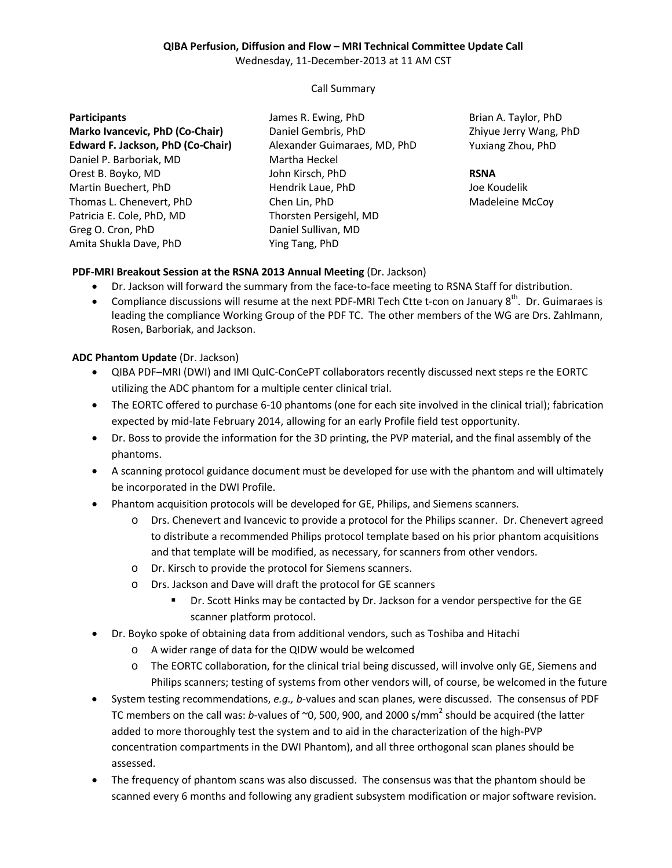# **QIBA Perfusion, Diffusion and Flow – MRI Technical Committee Update Call**

Wednesday, 11-December-2013 at 11 AM CST

## Call Summary

### **Participants**

**Marko Ivancevic, PhD (Co-Chair) Edward F. Jackson, PhD (Co-Chair)** Daniel P. Barboriak, MD Orest B. Boyko, MD Martin Buechert, PhD Thomas L. Chenevert, PhD Patricia E. Cole, PhD, MD Greg O. Cron, PhD Amita Shukla Dave, PhD

James R. Ewing, PhD Daniel Gembris, PhD Alexander Guimaraes, MD, PhD Martha Heckel John Kirsch, PhD Hendrik Laue, PhD Chen Lin, PhD Thorsten Persigehl, MD Daniel Sullivan, MD Ying Tang, PhD

Brian A. Taylor, PhD Zhiyue Jerry Wang, PhD Yuxiang Zhou, PhD

### **RSNA**

Joe Koudelik Madeleine McCoy

# **PDF-MRI Breakout Session at the RSNA 2013 Annual Meeting** (Dr. Jackson)

- Dr. Jackson will forward the summary from the face-to-face meeting to RSNA Staff for distribution.
- Compliance discussions will resume at the next PDF-MRI Tech Ctte t-con on January  $8^{th}$ . Dr. Guimaraes is leading the compliance Working Group of the PDF TC. The other members of the WG are Drs. Zahlmann, Rosen, Barboriak, and Jackson.

## **ADC Phantom Update** (Dr. Jackson)

- QIBA PDF–MRI (DWI) and IMI QuIC-ConCePT collaborators recently discussed next steps re the EORTC utilizing the ADC phantom for a multiple center clinical trial.
- The EORTC offered to purchase 6-10 phantoms (one for each site involved in the clinical trial); fabrication expected by mid-late February 2014, allowing for an early Profile field test opportunity.
- Dr. Boss to provide the information for the 3D printing, the PVP material, and the final assembly of the phantoms.
- A scanning protocol guidance document must be developed for use with the phantom and will ultimately be incorporated in the DWI Profile.
- Phantom acquisition protocols will be developed for GE, Philips, and Siemens scanners.
	- o Drs. Chenevert and Ivancevic to provide a protocol for the Philips scanner. Dr. Chenevert agreed to distribute a recommended Philips protocol template based on his prior phantom acquisitions and that template will be modified, as necessary, for scanners from other vendors.
	- o Dr. Kirsch to provide the protocol for Siemens scanners.
	- o Drs. Jackson and Dave will draft the protocol for GE scanners
		- Dr. Scott Hinks may be contacted by Dr. Jackson for a vendor perspective for the GE scanner platform protocol.
- Dr. Boyko spoke of obtaining data from additional vendors, such as Toshiba and Hitachi
	- o A wider range of data for the QIDW would be welcomed
	- o The EORTC collaboration, for the clinical trial being discussed, will involve only GE, Siemens and Philips scanners; testing of systems from other vendors will, of course, be welcomed in the future
- System testing recommendations, *e.g., b*-values and scan planes, were discussed. The consensus of PDF TC members on the call was: *b*-values of ~0, 500, 900, and 2000 s/mm<sup>2</sup> should be acquired (the latter added to more thoroughly test the system and to aid in the characterization of the high-PVP concentration compartments in the DWI Phantom), and all three orthogonal scan planes should be assessed.
- The frequency of phantom scans was also discussed. The consensus was that the phantom should be scanned every 6 months and following any gradient subsystem modification or major software revision.